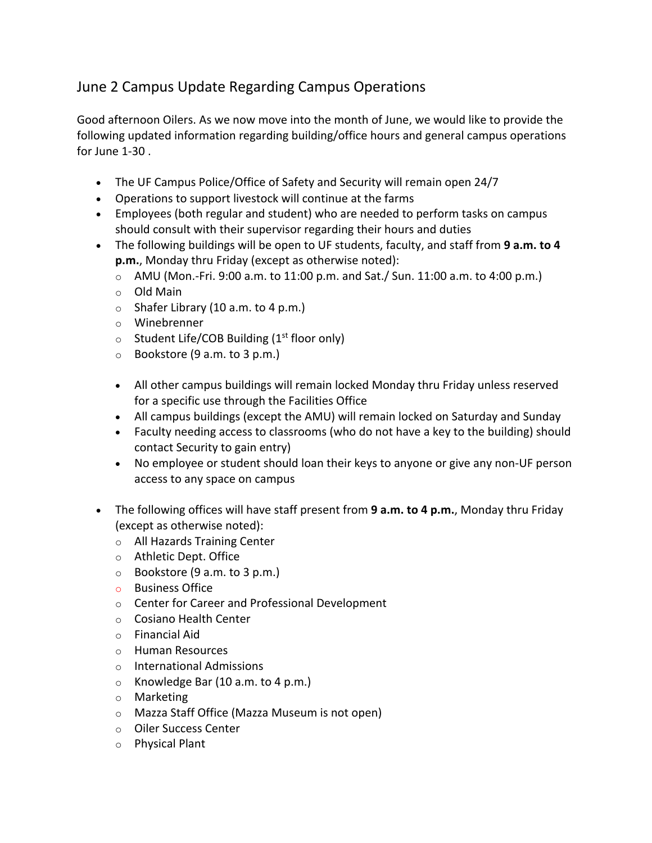## June 2 Campus Update Regarding Campus Operations

Good afternoon Oilers. As we now move into the month of June, we would like to provide the following updated information regarding building/office hours and general campus operations for June 1-30 .

- The UF Campus Police/Office of Safety and Security will remain open 24/7
- Operations to support livestock will continue at the farms
- Employees (both regular and student) who are needed to perform tasks on campus should consult with their supervisor regarding their hours and duties
- The following buildings will be open to UF students, faculty, and staff from **9 a.m. to 4 p.m.**, Monday thru Friday (except as otherwise noted):
	- $\circ$  AMU (Mon.-Fri. 9:00 a.m. to 11:00 p.m. and Sat./ Sun. 11:00 a.m. to 4:00 p.m.)
	- o Old Main
	- $\circ$  Shafer Library (10 a.m. to 4 p.m.)
	- o Winebrenner
	- $\circ$  Student Life/COB Building (1<sup>st</sup> floor only)
	- $\circ$  Bookstore (9 a.m. to 3 p.m.)
	- All other campus buildings will remain locked Monday thru Friday unless reserved for a specific use through the Facilities Office
	- All campus buildings (except the AMU) will remain locked on Saturday and Sunday
	- Faculty needing access to classrooms (who do not have a key to the building) should contact Security to gain entry)
	- No employee or student should loan their keys to anyone or give any non-UF person access to any space on campus
- The following offices will have staff present from **9 a.m. to 4 p.m.**, Monday thru Friday (except as otherwise noted):
	- o All Hazards Training Center
	- o Athletic Dept. Office
	- $\circ$  Bookstore (9 a.m. to 3 p.m.)
	- o Business Office
	- o Center for Career and Professional Development
	- o Cosiano Health Center
	- o Financial Aid
	- o Human Resources
	- o International Admissions
	- o Knowledge Bar (10 a.m. to 4 p.m.)
	- o Marketing
	- o Mazza Staff Office (Mazza Museum is not open)
	- o Oiler Success Center
	- o Physical Plant